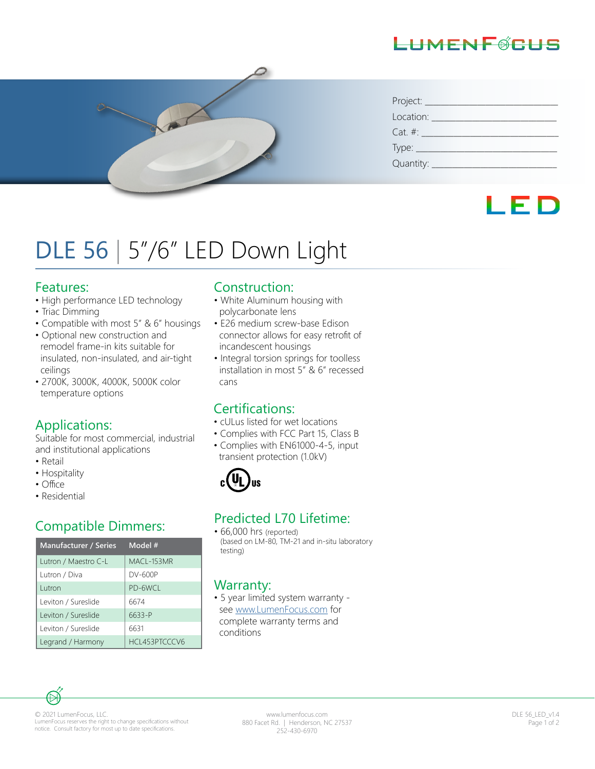# LHMENFØCHS



| Project:     |  |
|--------------|--|
| Location:    |  |
| $Cat. \#:$   |  |
|              |  |
| Quantity: __ |  |

# LED

# DLE 56 | 5"/6" LED Down Light

#### Features:

- High performance LED technology
- Triac Dimming
- Compatible with most 5" & 6" housings
- Optional new construction and remodel frame-in kits suitable for insulated, non-insulated, and air-tight ceilings
- 2700K, 3000K, 4000K, 5000K color temperature options

## Applications:

Suitable for most commercial, industrial and institutional applications

- Retail
- Hospitality
- Office
- Residential

| <b>Manufacturer / Series</b> | Model #       | (based<br>testing) |
|------------------------------|---------------|--------------------|
| Lutron / Maestro C-L         | MACL-153MR    |                    |
| Lutron / Diva                | DV-600P       |                    |
| Lutron                       | PD-6WCL       | Warra              |
| Leviton / Sureslide          | 6674          | $• 5$ year         |
| Leviton / Sureslide          | 6633-P        | see w<br>compl     |
| Leviton / Sureslide          | 6631          | condit             |
| Legrand / Harmony            | HCL453PTCCCV6 |                    |

#### Construction:

- White Aluminum housing with polycarbonate lens
- E26 medium screw-base Edison connector allows for easy retrofit of incandescent housings
- Integral torsion springs for toolless installation in most 5" & 6" recessed cans

## Certifications:

- cULus listed for wet locations
- Complies with FCC Part 15, Class B
- Complies with EN61000-4-5, input transient protection (1.0kV)



# Compatible Dimmers:<br>  $\begin{array}{r} \text{Predicted L70 Literature:} \\ \text{if. 66,000 hrs (morted)} \end{array}$

• 66,000 hrs (reported) (based on LM-80, TM-21 and in-situ laboratory

#### Warranty:

• 5 year limited system warranty see www.LumenFocus.com for complete warranty terms and conditions



© 2021 LumenFocus, LLC. LumenFocus reserves the right to change specifications without notice. Consult factory for most up to date specifications.

www.lumenfocus.com 880 Facet Rd. | Henderson, NC 27537 252-430-6970

DLE 56\_LED\_v1.4 Page 1 of 2